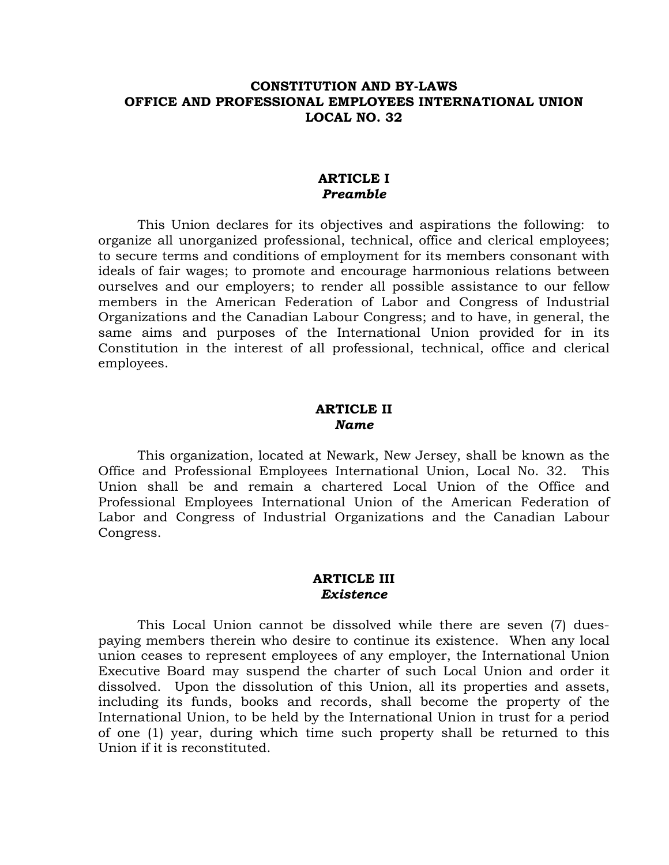## **CONSTITUTION AND BY-LAWS OFFICE AND PROFESSIONAL EMPLOYEES INTERNATIONAL UNION LOCAL NO. 32**

#### **ARTICLE I**  *Preamble*

This Union declares for its objectives and aspirations the following: to organize all unorganized professional, technical, office and clerical employees; to secure terms and conditions of employment for its members consonant with ideals of fair wages; to promote and encourage harmonious relations between ourselves and our employers; to render all possible assistance to our fellow members in the American Federation of Labor and Congress of Industrial Organizations and the Canadian Labour Congress; and to have, in general, the same aims and purposes of the International Union provided for in its Constitution in the interest of all professional, technical, office and clerical employees.

#### **ARTICLE II**  *Name*

 This organization, located at Newark, New Jersey, shall be known as the Office and Professional Employees International Union, Local No. 32. This Union shall be and remain a chartered Local Union of the Office and Professional Employees International Union of the American Federation of Labor and Congress of Industrial Organizations and the Canadian Labour Congress.

#### **ARTICLE III**  *Existence*

 This Local Union cannot be dissolved while there are seven (7) duespaying members therein who desire to continue its existence. When any local union ceases to represent employees of any employer, the International Union Executive Board may suspend the charter of such Local Union and order it dissolved. Upon the dissolution of this Union, all its properties and assets, including its funds, books and records, shall become the property of the International Union, to be held by the International Union in trust for a period of one (1) year, during which time such property shall be returned to this Union if it is reconstituted.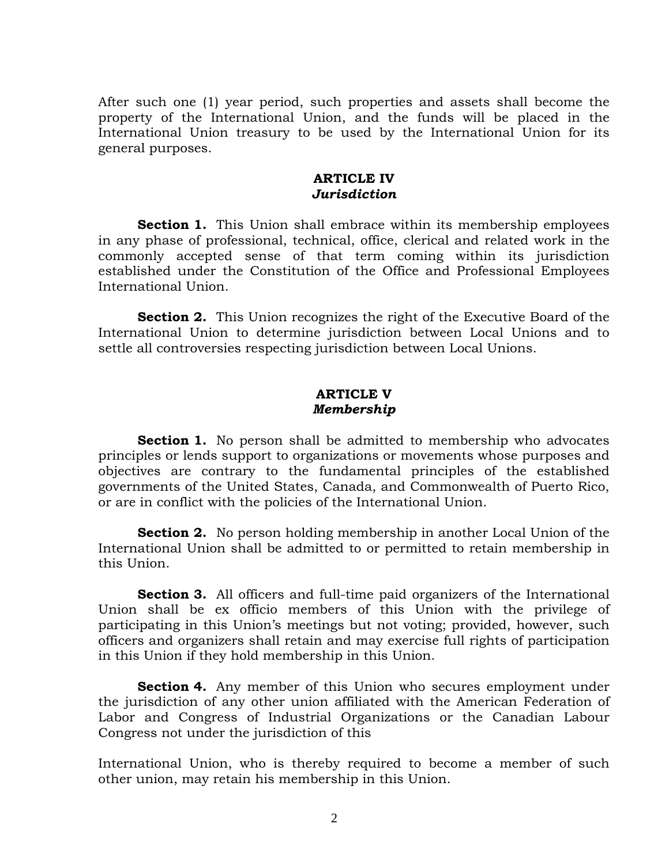After such one (1) year period, such properties and assets shall become the property of the International Union, and the funds will be placed in the International Union treasury to be used by the International Union for its general purposes.

#### **ARTICLE IV**  *Jurisdiction*

**Section 1.** This Union shall embrace within its membership employees in any phase of professional, technical, office, clerical and related work in the commonly accepted sense of that term coming within its jurisdiction established under the Constitution of the Office and Professional Employees International Union.

**Section 2.** This Union recognizes the right of the Executive Board of the International Union to determine jurisdiction between Local Unions and to settle all controversies respecting jurisdiction between Local Unions.

# **ARTICLE V**  *Membership*

**Section 1.** No person shall be admitted to membership who advocates principles or lends support to organizations or movements whose purposes and objectives are contrary to the fundamental principles of the established governments of the United States, Canada, and Commonwealth of Puerto Rico, or are in conflict with the policies of the International Union.

**Section 2.** No person holding membership in another Local Union of the International Union shall be admitted to or permitted to retain membership in this Union.

**Section 3.** All officers and full-time paid organizers of the International Union shall be ex officio members of this Union with the privilege of participating in this Union's meetings but not voting; provided, however, such officers and organizers shall retain and may exercise full rights of participation in this Union if they hold membership in this Union.

**Section 4.** Any member of this Union who secures employment under the jurisdiction of any other union affiliated with the American Federation of Labor and Congress of Industrial Organizations or the Canadian Labour Congress not under the jurisdiction of this

International Union, who is thereby required to become a member of such other union, may retain his membership in this Union.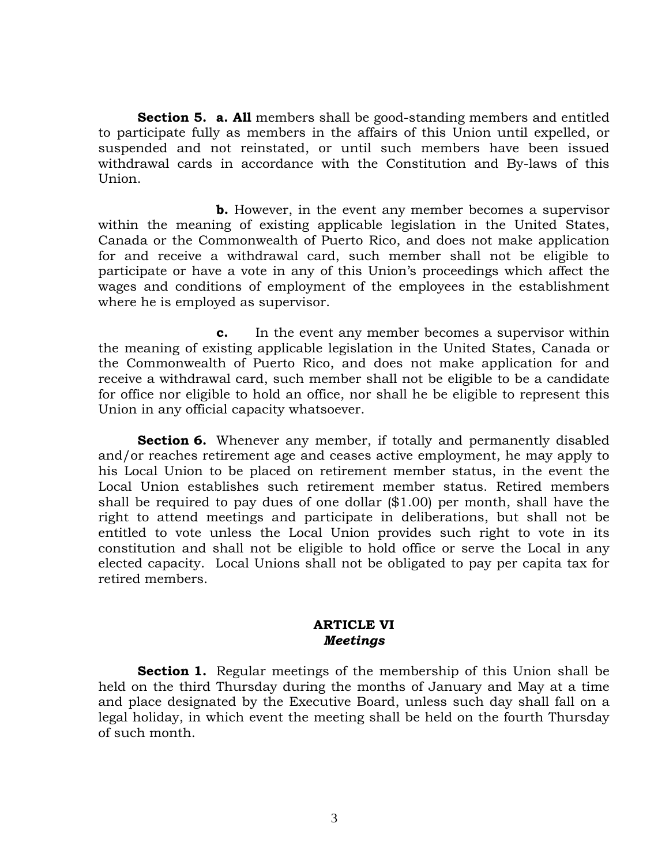**Section 5. a. All** members shall be good-standing members and entitled to participate fully as members in the affairs of this Union until expelled, or suspended and not reinstated, or until such members have been issued withdrawal cards in accordance with the Constitution and By-laws of this Union.

 **b.** However, in the event any member becomes a supervisor within the meaning of existing applicable legislation in the United States, Canada or the Commonwealth of Puerto Rico, and does not make application for and receive a withdrawal card, such member shall not be eligible to participate or have a vote in any of this Union's proceedings which affect the wages and conditions of employment of the employees in the establishment where he is employed as supervisor.

 **c.** In the event any member becomes a supervisor within the meaning of existing applicable legislation in the United States, Canada or the Commonwealth of Puerto Rico, and does not make application for and receive a withdrawal card, such member shall not be eligible to be a candidate for office nor eligible to hold an office, nor shall he be eligible to represent this Union in any official capacity whatsoever.

**Section 6.** Whenever any member, if totally and permanently disabled and/or reaches retirement age and ceases active employment, he may apply to his Local Union to be placed on retirement member status, in the event the Local Union establishes such retirement member status. Retired members shall be required to pay dues of one dollar (\$1.00) per month, shall have the right to attend meetings and participate in deliberations, but shall not be entitled to vote unless the Local Union provides such right to vote in its constitution and shall not be eligible to hold office or serve the Local in any elected capacity. Local Unions shall not be obligated to pay per capita tax for retired members.

## **ARTICLE VI**  *Meetings*

**Section 1.** Regular meetings of the membership of this Union shall be held on the third Thursday during the months of January and May at a time and place designated by the Executive Board, unless such day shall fall on a legal holiday, in which event the meeting shall be held on the fourth Thursday of such month.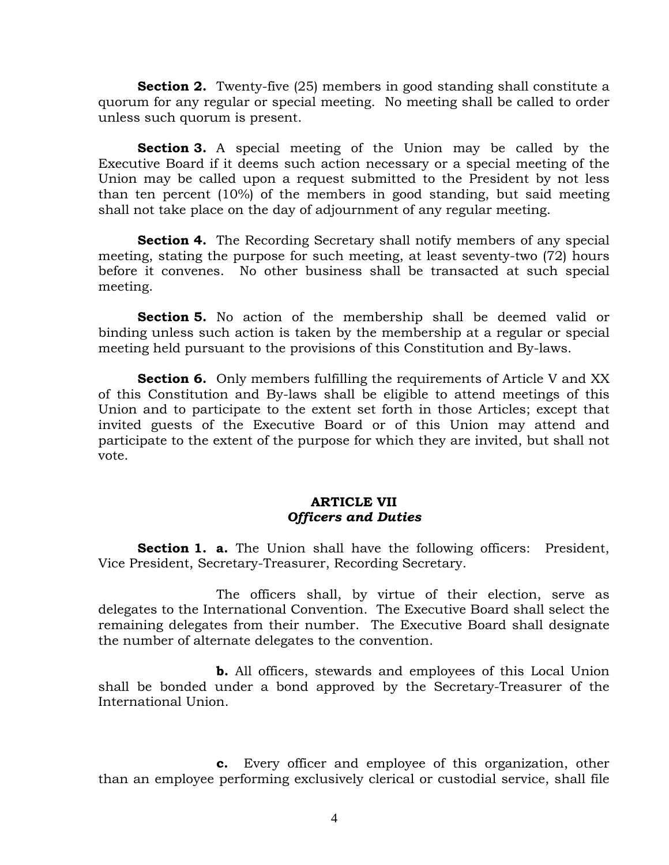**Section 2.** Twenty-five (25) members in good standing shall constitute a quorum for any regular or special meeting. No meeting shall be called to order unless such quorum is present.

**Section 3.** A special meeting of the Union may be called by the Executive Board if it deems such action necessary or a special meeting of the Union may be called upon a request submitted to the President by not less than ten percent (10%) of the members in good standing, but said meeting shall not take place on the day of adjournment of any regular meeting.

**Section 4.** The Recording Secretary shall notify members of any special meeting, stating the purpose for such meeting, at least seventy-two (72) hours before it convenes. No other business shall be transacted at such special meeting.

**Section 5.** No action of the membership shall be deemed valid or binding unless such action is taken by the membership at a regular or special meeting held pursuant to the provisions of this Constitution and By-laws.

**Section 6.** Only members fulfilling the requirements of Article V and XX of this Constitution and By-laws shall be eligible to attend meetings of this Union and to participate to the extent set forth in those Articles; except that invited guests of the Executive Board or of this Union may attend and participate to the extent of the purpose for which they are invited, but shall not vote.

# **ARTICLE VII**  *Officers and Duties*

**Section 1. a.** The Union shall have the following officers: President, Vice President, Secretary-Treasurer, Recording Secretary.

 The officers shall, by virtue of their election, serve as delegates to the International Convention. The Executive Board shall select the remaining delegates from their number. The Executive Board shall designate the number of alternate delegates to the convention.

 **b.** All officers, stewards and employees of this Local Union shall be bonded under a bond approved by the Secretary-Treasurer of the International Union.

 **c.** Every officer and employee of this organization, other than an employee performing exclusively clerical or custodial service, shall file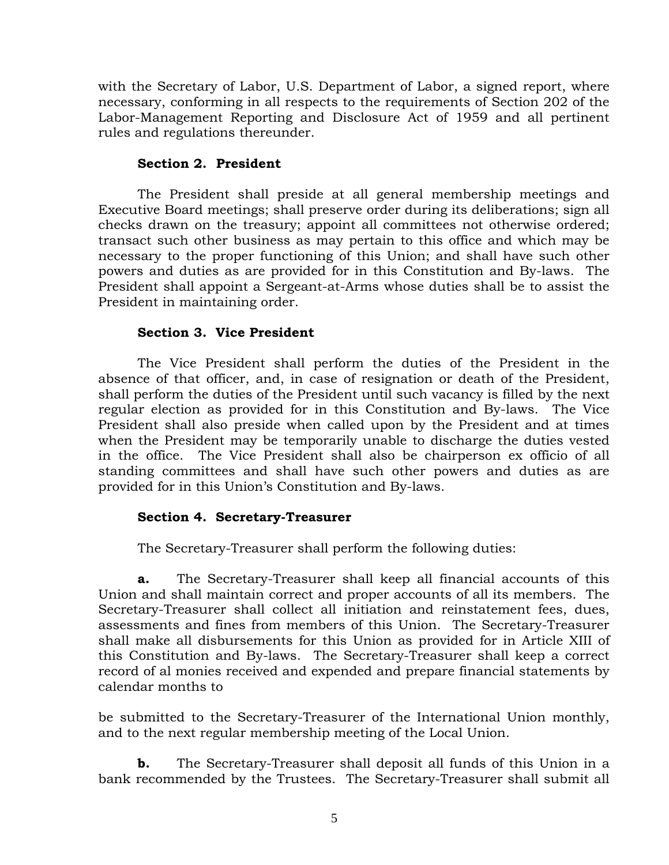with the Secretary of Labor, U.S. Department of Labor, a signed report, where necessary, conforming in all respects to the requirements of Section 202 of the Labor-Management Reporting and Disclosure Act of 1959 and all pertinent rules and regulations thereunder.

## **Section 2. President**

 The President shall preside at all general membership meetings and Executive Board meetings; shall preserve order during its deliberations; sign all checks drawn on the treasury; appoint all committees not otherwise ordered; transact such other business as may pertain to this office and which may be necessary to the proper functioning of this Union; and shall have such other powers and duties as are provided for in this Constitution and By-laws. The President shall appoint a Sergeant-at-Arms whose duties shall be to assist the President in maintaining order.

# **Section 3. Vice President**

 The Vice President shall perform the duties of the President in the absence of that officer, and, in case of resignation or death of the President, shall perform the duties of the President until such vacancy is filled by the next regular election as provided for in this Constitution and By-laws. The Vice President shall also preside when called upon by the President and at times when the President may be temporarily unable to discharge the duties vested in the office. The Vice President shall also be chairperson ex officio of all standing committees and shall have such other powers and duties as are provided for in this Union's Constitution and By-laws.

# **Section 4. Secretary-Treasurer**

The Secretary-Treasurer shall perform the following duties:

**a.** The Secretary-Treasurer shall keep all financial accounts of this Union and shall maintain correct and proper accounts of all its members. The Secretary-Treasurer shall collect all initiation and reinstatement fees, dues, assessments and fines from members of this Union. The Secretary-Treasurer shall make all disbursements for this Union as provided for in Article XIII of this Constitution and By-laws. The Secretary-Treasurer shall keep a correct record of al monies received and expended and prepare financial statements by calendar months to

be submitted to the Secretary-Treasurer of the International Union monthly, and to the next regular membership meeting of the Local Union.

**b.** The Secretary-Treasurer shall deposit all funds of this Union in a bank recommended by the Trustees. The Secretary-Treasurer shall submit all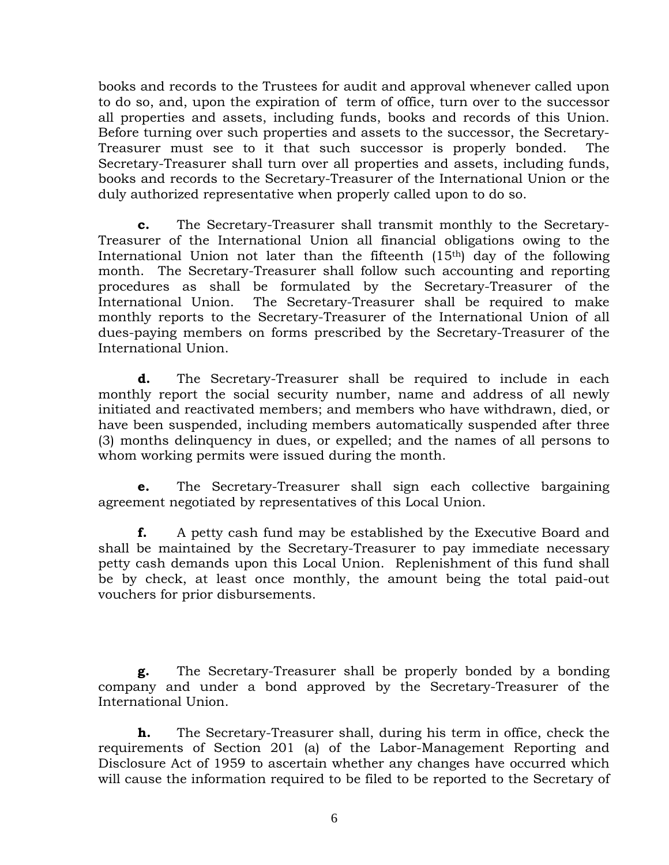books and records to the Trustees for audit and approval whenever called upon to do so, and, upon the expiration of term of office, turn over to the successor all properties and assets, including funds, books and records of this Union. Before turning over such properties and assets to the successor, the Secretary-Treasurer must see to it that such successor is properly bonded. The Secretary-Treasurer shall turn over all properties and assets, including funds, books and records to the Secretary-Treasurer of the International Union or the duly authorized representative when properly called upon to do so.

**c.** The Secretary-Treasurer shall transmit monthly to the Secretary-Treasurer of the International Union all financial obligations owing to the International Union not later than the fifteenth  $(15<sup>th</sup>)$  day of the following month. The Secretary-Treasurer shall follow such accounting and reporting procedures as shall be formulated by the Secretary-Treasurer of the International Union. The Secretary-Treasurer shall be required to make monthly reports to the Secretary-Treasurer of the International Union of all dues-paying members on forms prescribed by the Secretary-Treasurer of the International Union.

**d.** The Secretary-Treasurer shall be required to include in each monthly report the social security number, name and address of all newly initiated and reactivated members; and members who have withdrawn, died, or have been suspended, including members automatically suspended after three (3) months delinquency in dues, or expelled; and the names of all persons to whom working permits were issued during the month.

**e.** The Secretary-Treasurer shall sign each collective bargaining agreement negotiated by representatives of this Local Union.

**f.** A petty cash fund may be established by the Executive Board and shall be maintained by the Secretary-Treasurer to pay immediate necessary petty cash demands upon this Local Union. Replenishment of this fund shall be by check, at least once monthly, the amount being the total paid-out vouchers for prior disbursements.

**g.** The Secretary-Treasurer shall be properly bonded by a bonding company and under a bond approved by the Secretary-Treasurer of the International Union.

**h.** The Secretary-Treasurer shall, during his term in office, check the requirements of Section 201 (a) of the Labor-Management Reporting and Disclosure Act of 1959 to ascertain whether any changes have occurred which will cause the information required to be filed to be reported to the Secretary of

6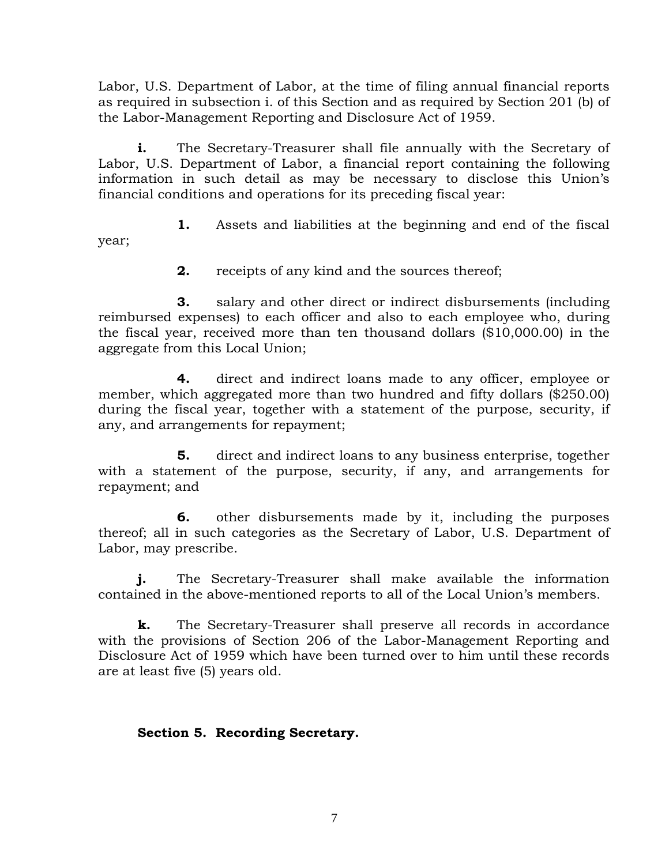Labor, U.S. Department of Labor, at the time of filing annual financial reports as required in subsection i. of this Section and as required by Section 201 (b) of the Labor-Management Reporting and Disclosure Act of 1959.

**i.** The Secretary-Treasurer shall file annually with the Secretary of Labor, U.S. Department of Labor, a financial report containing the following information in such detail as may be necessary to disclose this Union's financial conditions and operations for its preceding fiscal year:

 **1.** Assets and liabilities at the beginning and end of the fiscal year;

**2.** receipts of any kind and the sources thereof;

 **3.** salary and other direct or indirect disbursements (including reimbursed expenses) to each officer and also to each employee who, during the fiscal year, received more than ten thousand dollars (\$10,000.00) in the aggregate from this Local Union;

 **4.** direct and indirect loans made to any officer, employee or member, which aggregated more than two hundred and fifty dollars (\$250.00) during the fiscal year, together with a statement of the purpose, security, if any, and arrangements for repayment;

 **5.** direct and indirect loans to any business enterprise, together with a statement of the purpose, security, if any, and arrangements for repayment; and

 **6.** other disbursements made by it, including the purposes thereof; all in such categories as the Secretary of Labor, U.S. Department of Labor, may prescribe.

**j.** The Secretary-Treasurer shall make available the information contained in the above-mentioned reports to all of the Local Union's members.

**k.** The Secretary-Treasurer shall preserve all records in accordance with the provisions of Section 206 of the Labor-Management Reporting and Disclosure Act of 1959 which have been turned over to him until these records are at least five (5) years old.

# **Section 5. Recording Secretary.**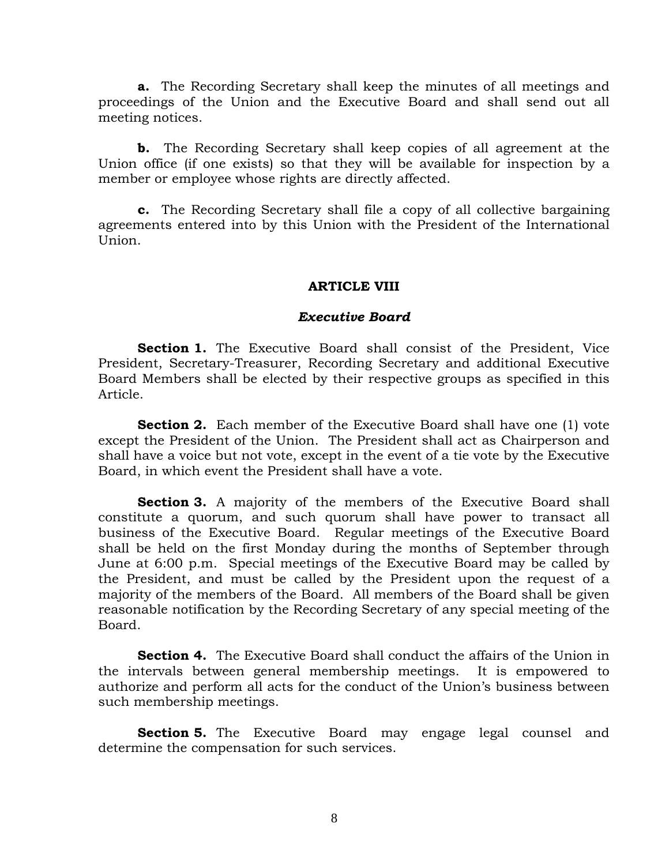**a.** The Recording Secretary shall keep the minutes of all meetings and proceedings of the Union and the Executive Board and shall send out all meeting notices.

**b.** The Recording Secretary shall keep copies of all agreement at the Union office (if one exists) so that they will be available for inspection by a member or employee whose rights are directly affected.

**c.** The Recording Secretary shall file a copy of all collective bargaining agreements entered into by this Union with the President of the International Union.

#### **ARTICLE VIII**

#### *Executive Board*

**Section 1.** The Executive Board shall consist of the President, Vice President, Secretary-Treasurer, Recording Secretary and additional Executive Board Members shall be elected by their respective groups as specified in this Article.

**Section 2.** Each member of the Executive Board shall have one (1) vote except the President of the Union. The President shall act as Chairperson and shall have a voice but not vote, except in the event of a tie vote by the Executive Board, in which event the President shall have a vote.

**Section 3.** A majority of the members of the Executive Board shall constitute a quorum, and such quorum shall have power to transact all business of the Executive Board. Regular meetings of the Executive Board shall be held on the first Monday during the months of September through June at 6:00 p.m. Special meetings of the Executive Board may be called by the President, and must be called by the President upon the request of a majority of the members of the Board. All members of the Board shall be given reasonable notification by the Recording Secretary of any special meeting of the Board.

**Section 4.** The Executive Board shall conduct the affairs of the Union in the intervals between general membership meetings. It is empowered to authorize and perform all acts for the conduct of the Union's business between such membership meetings.

**Section 5.** The Executive Board may engage legal counsel and determine the compensation for such services.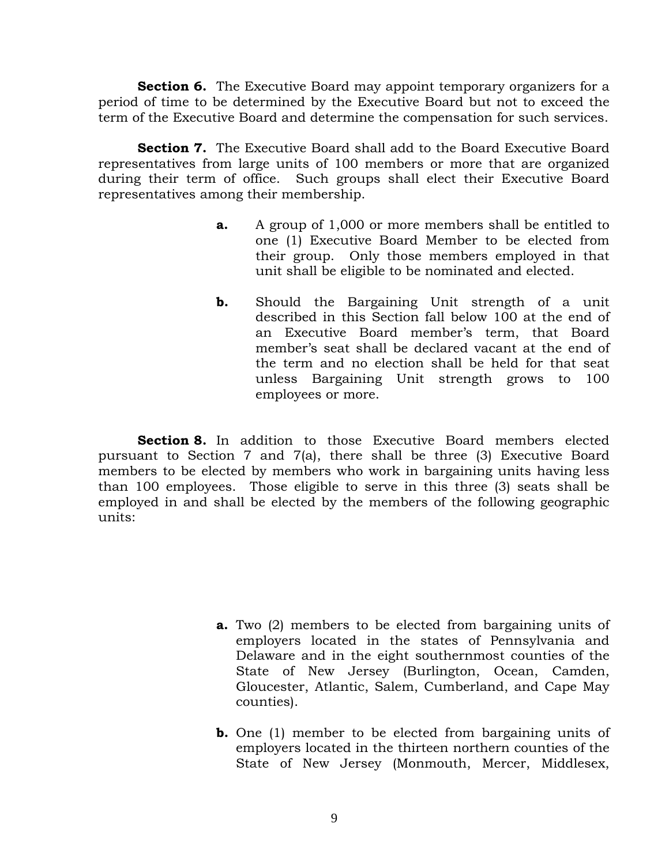**Section 6.** The Executive Board may appoint temporary organizers for a period of time to be determined by the Executive Board but not to exceed the term of the Executive Board and determine the compensation for such services.

**Section 7.** The Executive Board shall add to the Board Executive Board representatives from large units of 100 members or more that are organized during their term of office. Such groups shall elect their Executive Board representatives among their membership.

- **a.** A group of 1,000 or more members shall be entitled to one (1) Executive Board Member to be elected from their group. Only those members employed in that unit shall be eligible to be nominated and elected.
- **b.** Should the Bargaining Unit strength of a unit described in this Section fall below 100 at the end of an Executive Board member's term, that Board member's seat shall be declared vacant at the end of the term and no election shall be held for that seat unless Bargaining Unit strength grows to 100 employees or more.

**Section 8.** In addition to those Executive Board members elected pursuant to Section 7 and 7(a), there shall be three (3) Executive Board members to be elected by members who work in bargaining units having less than 100 employees. Those eligible to serve in this three (3) seats shall be employed in and shall be elected by the members of the following geographic units:

- **a.** Two (2) members to be elected from bargaining units of employers located in the states of Pennsylvania and Delaware and in the eight southernmost counties of the State of New Jersey (Burlington, Ocean, Camden, Gloucester, Atlantic, Salem, Cumberland, and Cape May counties).
- **b.** One (1) member to be elected from bargaining units of employers located in the thirteen northern counties of the State of New Jersey (Monmouth, Mercer, Middlesex,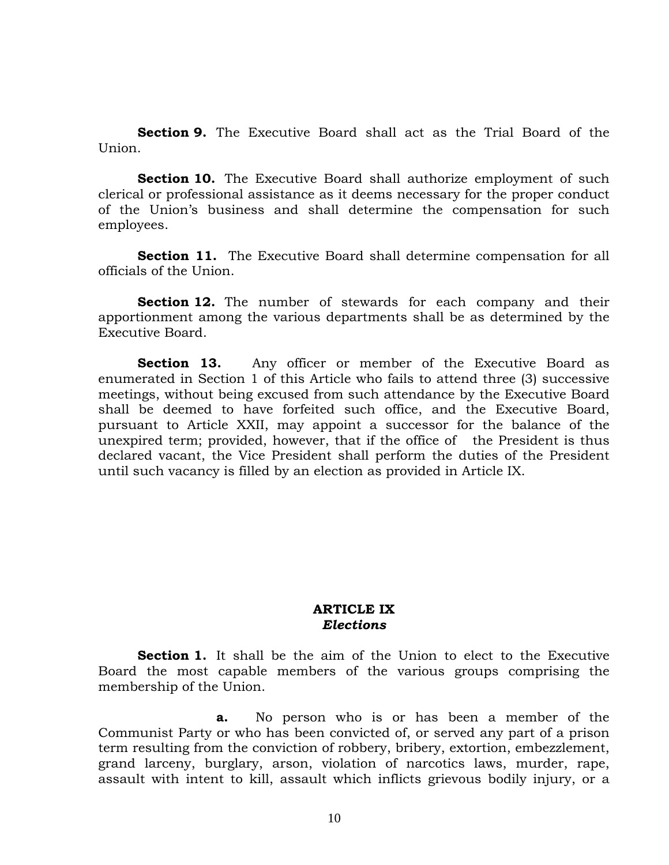**Section 9.** The Executive Board shall act as the Trial Board of the Union.

**Section 10.** The Executive Board shall authorize employment of such clerical or professional assistance as it deems necessary for the proper conduct of the Union's business and shall determine the compensation for such employees.

**Section 11.** The Executive Board shall determine compensation for all officials of the Union.

**Section 12.** The number of stewards for each company and their apportionment among the various departments shall be as determined by the Executive Board.

**Section 13.** Any officer or member of the Executive Board as enumerated in Section 1 of this Article who fails to attend three (3) successive meetings, without being excused from such attendance by the Executive Board shall be deemed to have forfeited such office, and the Executive Board, pursuant to Article XXII, may appoint a successor for the balance of the unexpired term; provided, however, that if the office of the President is thus declared vacant, the Vice President shall perform the duties of the President until such vacancy is filled by an election as provided in Article IX.

#### **ARTICLE IX**  *Elections*

**Section 1.** It shall be the aim of the Union to elect to the Executive Board the most capable members of the various groups comprising the membership of the Union.

 **a.** No person who is or has been a member of the Communist Party or who has been convicted of, or served any part of a prison term resulting from the conviction of robbery, bribery, extortion, embezzlement, grand larceny, burglary, arson, violation of narcotics laws, murder, rape, assault with intent to kill, assault which inflicts grievous bodily injury, or a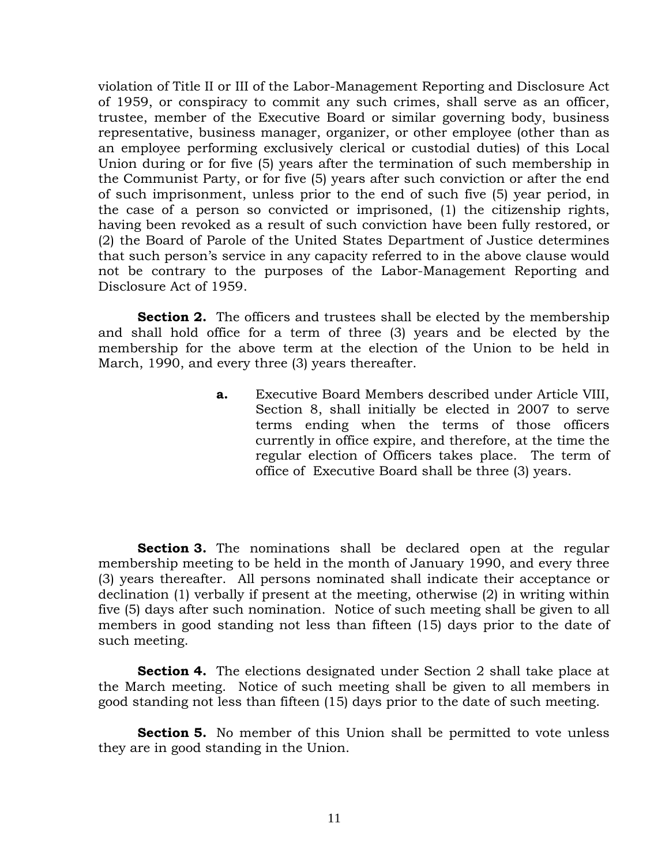violation of Title II or III of the Labor-Management Reporting and Disclosure Act of 1959, or conspiracy to commit any such crimes, shall serve as an officer, trustee, member of the Executive Board or similar governing body, business representative, business manager, organizer, or other employee (other than as an employee performing exclusively clerical or custodial duties) of this Local Union during or for five (5) years after the termination of such membership in the Communist Party, or for five (5) years after such conviction or after the end of such imprisonment, unless prior to the end of such five (5) year period, in the case of a person so convicted or imprisoned, (1) the citizenship rights, having been revoked as a result of such conviction have been fully restored, or (2) the Board of Parole of the United States Department of Justice determines that such person's service in any capacity referred to in the above clause would not be contrary to the purposes of the Labor-Management Reporting and Disclosure Act of 1959.

**Section 2.** The officers and trustees shall be elected by the membership and shall hold office for a term of three (3) years and be elected by the membership for the above term at the election of the Union to be held in March, 1990, and every three (3) years thereafter.

> **a.** Executive Board Members described under Article VIII, Section 8, shall initially be elected in 2007 to serve terms ending when the terms of those officers currently in office expire, and therefore, at the time the regular election of Officers takes place. The term of office of Executive Board shall be three (3) years.

**Section 3.** The nominations shall be declared open at the regular membership meeting to be held in the month of January 1990, and every three (3) years thereafter. All persons nominated shall indicate their acceptance or declination (1) verbally if present at the meeting, otherwise (2) in writing within five (5) days after such nomination. Notice of such meeting shall be given to all members in good standing not less than fifteen (15) days prior to the date of such meeting.

**Section 4.** The elections designated under Section 2 shall take place at the March meeting. Notice of such meeting shall be given to all members in good standing not less than fifteen (15) days prior to the date of such meeting.

**Section 5.** No member of this Union shall be permitted to vote unless they are in good standing in the Union.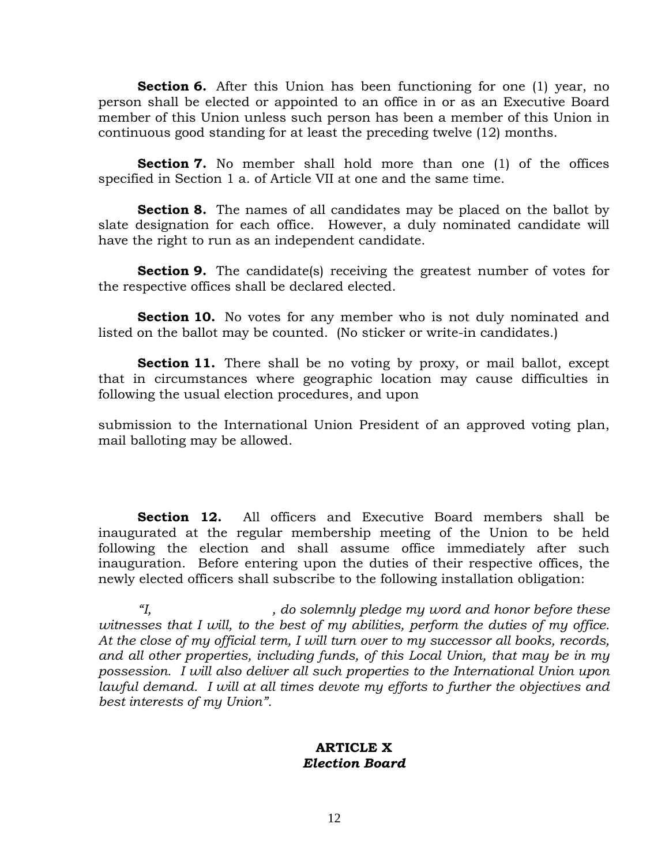**Section 6.** After this Union has been functioning for one (1) year, no person shall be elected or appointed to an office in or as an Executive Board member of this Union unless such person has been a member of this Union in continuous good standing for at least the preceding twelve (12) months.

**Section 7.** No member shall hold more than one (1) of the offices specified in Section 1 a. of Article VII at one and the same time.

**Section 8.** The names of all candidates may be placed on the ballot by slate designation for each office. However, a duly nominated candidate will have the right to run as an independent candidate.

**Section 9.** The candidate(s) receiving the greatest number of votes for the respective offices shall be declared elected.

**Section 10.** No votes for any member who is not duly nominated and listed on the ballot may be counted. (No sticker or write-in candidates.)

Section 11. There shall be no voting by proxy, or mail ballot, except that in circumstances where geographic location may cause difficulties in following the usual election procedures, and upon

submission to the International Union President of an approved voting plan, mail balloting may be allowed.

**Section 12.** All officers and Executive Board members shall be inaugurated at the regular membership meeting of the Union to be held following the election and shall assume office immediately after such inauguration. Before entering upon the duties of their respective offices, the newly elected officers shall subscribe to the following installation obligation:

 *"I, , do solemnly pledge my word and honor before these witnesses that I will, to the best of my abilities, perform the duties of my office. At the close of my official term, I will turn over to my successor all books, records, and all other properties, including funds, of this Local Union, that may be in my possession. I will also deliver all such properties to the International Union upon lawful demand. I will at all times devote my efforts to further the objectives and best interests of my Union".* 

#### **ARTICLE X**  *Election Board*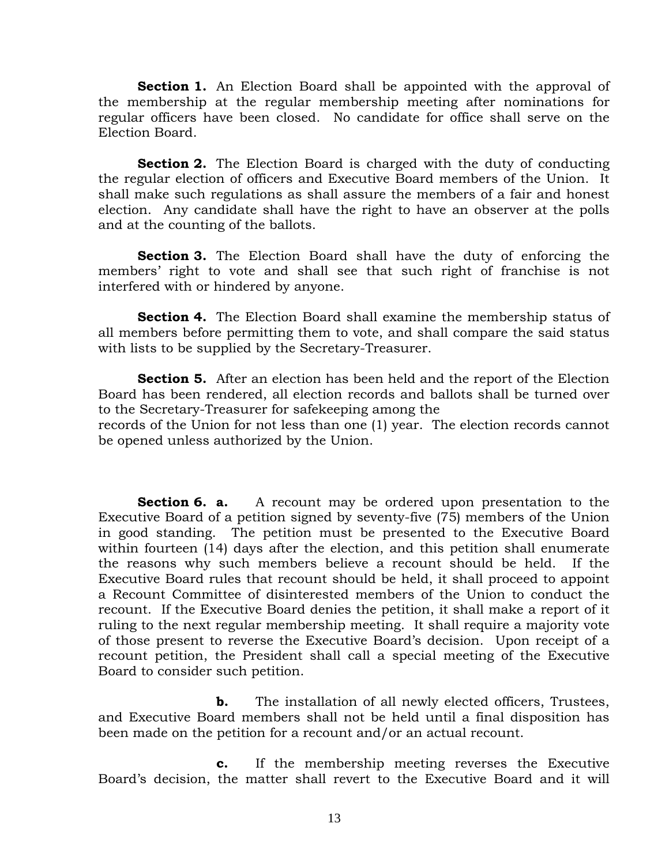**Section 1.** An Election Board shall be appointed with the approval of the membership at the regular membership meeting after nominations for regular officers have been closed. No candidate for office shall serve on the Election Board.

**Section 2.** The Election Board is charged with the duty of conducting the regular election of officers and Executive Board members of the Union. It shall make such regulations as shall assure the members of a fair and honest election. Any candidate shall have the right to have an observer at the polls and at the counting of the ballots.

 **Section 3.** The Election Board shall have the duty of enforcing the members' right to vote and shall see that such right of franchise is not interfered with or hindered by anyone.

**Section 4.** The Election Board shall examine the membership status of all members before permitting them to vote, and shall compare the said status with lists to be supplied by the Secretary-Treasurer.

**Section 5.** After an election has been held and the report of the Election Board has been rendered, all election records and ballots shall be turned over to the Secretary-Treasurer for safekeeping among the

records of the Union for not less than one (1) year. The election records cannot be opened unless authorized by the Union.

**Section 6. a.** A recount may be ordered upon presentation to the Executive Board of a petition signed by seventy-five (75) members of the Union in good standing. The petition must be presented to the Executive Board within fourteen (14) days after the election, and this petition shall enumerate the reasons why such members believe a recount should be held. If the Executive Board rules that recount should be held, it shall proceed to appoint a Recount Committee of disinterested members of the Union to conduct the recount. If the Executive Board denies the petition, it shall make a report of it ruling to the next regular membership meeting. It shall require a majority vote of those present to reverse the Executive Board's decision. Upon receipt of a recount petition, the President shall call a special meeting of the Executive Board to consider such petition.

**b.** The installation of all newly elected officers, Trustees, and Executive Board members shall not be held until a final disposition has been made on the petition for a recount and/or an actual recount.

 **c.** If the membership meeting reverses the Executive Board's decision, the matter shall revert to the Executive Board and it will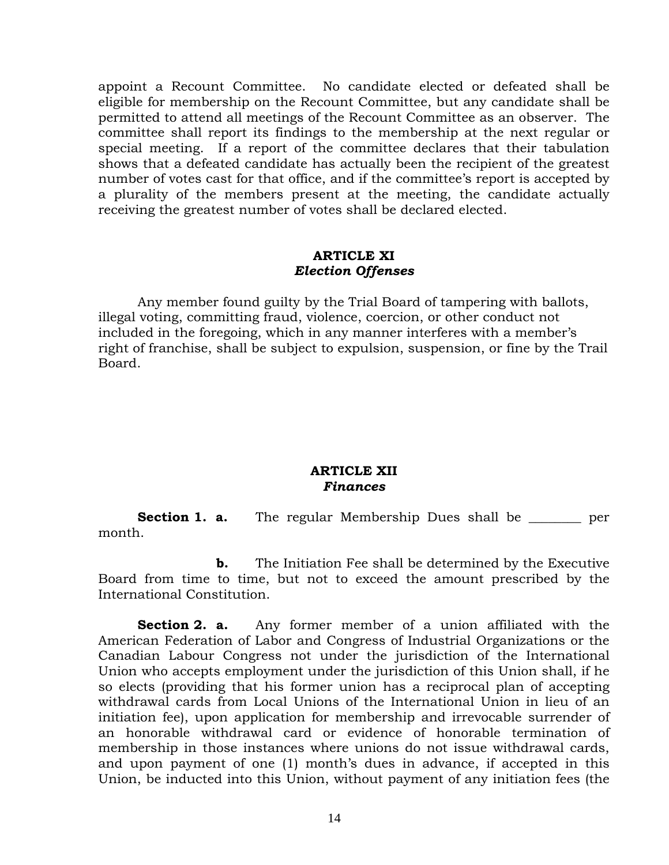appoint a Recount Committee. No candidate elected or defeated shall be eligible for membership on the Recount Committee, but any candidate shall be permitted to attend all meetings of the Recount Committee as an observer. The committee shall report its findings to the membership at the next regular or special meeting. If a report of the committee declares that their tabulation shows that a defeated candidate has actually been the recipient of the greatest number of votes cast for that office, and if the committee's report is accepted by a plurality of the members present at the meeting, the candidate actually receiving the greatest number of votes shall be declared elected.

#### **ARTICLE XI**  *Election Offenses*

 Any member found guilty by the Trial Board of tampering with ballots, illegal voting, committing fraud, violence, coercion, or other conduct not included in the foregoing, which in any manner interferes with a member's right of franchise, shall be subject to expulsion, suspension, or fine by the Trail Board.

## **ARTICLE XII**  *Finances*

**Section 1. a.** The regular Membership Dues shall be \_\_\_\_\_\_\_\_ per month.

**b.** The Initiation Fee shall be determined by the Executive Board from time to time, but not to exceed the amount prescribed by the International Constitution.

**Section 2. a.** Any former member of a union affiliated with the American Federation of Labor and Congress of Industrial Organizations or the Canadian Labour Congress not under the jurisdiction of the International Union who accepts employment under the jurisdiction of this Union shall, if he so elects (providing that his former union has a reciprocal plan of accepting withdrawal cards from Local Unions of the International Union in lieu of an initiation fee), upon application for membership and irrevocable surrender of an honorable withdrawal card or evidence of honorable termination of membership in those instances where unions do not issue withdrawal cards, and upon payment of one (1) month's dues in advance, if accepted in this Union, be inducted into this Union, without payment of any initiation fees (the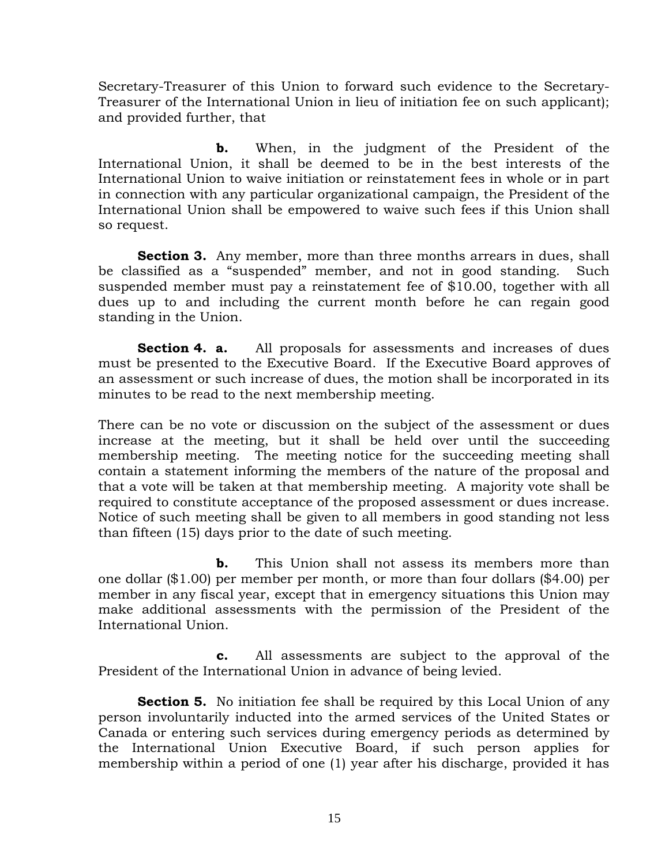Secretary-Treasurer of this Union to forward such evidence to the Secretary-Treasurer of the International Union in lieu of initiation fee on such applicant); and provided further, that

**b.** When, in the judgment of the President of the International Union, it shall be deemed to be in the best interests of the International Union to waive initiation or reinstatement fees in whole or in part in connection with any particular organizational campaign, the President of the International Union shall be empowered to waive such fees if this Union shall so request.

**Section 3.** Any member, more than three months arrears in dues, shall be classified as a "suspended" member, and not in good standing. Such suspended member must pay a reinstatement fee of \$10.00, together with all dues up to and including the current month before he can regain good standing in the Union.

**Section 4. a.** All proposals for assessments and increases of dues must be presented to the Executive Board. If the Executive Board approves of an assessment or such increase of dues, the motion shall be incorporated in its minutes to be read to the next membership meeting.

There can be no vote or discussion on the subject of the assessment or dues increase at the meeting, but it shall be held over until the succeeding membership meeting. The meeting notice for the succeeding meeting shall contain a statement informing the members of the nature of the proposal and that a vote will be taken at that membership meeting. A majority vote shall be required to constitute acceptance of the proposed assessment or dues increase. Notice of such meeting shall be given to all members in good standing not less than fifteen (15) days prior to the date of such meeting.

 **b.** This Union shall not assess its members more than one dollar (\$1.00) per member per month, or more than four dollars (\$4.00) per member in any fiscal year, except that in emergency situations this Union may make additional assessments with the permission of the President of the International Union.

 **c.** All assessments are subject to the approval of the President of the International Union in advance of being levied.

**Section 5.** No initiation fee shall be required by this Local Union of any person involuntarily inducted into the armed services of the United States or Canada or entering such services during emergency periods as determined by the International Union Executive Board, if such person applies for membership within a period of one (1) year after his discharge, provided it has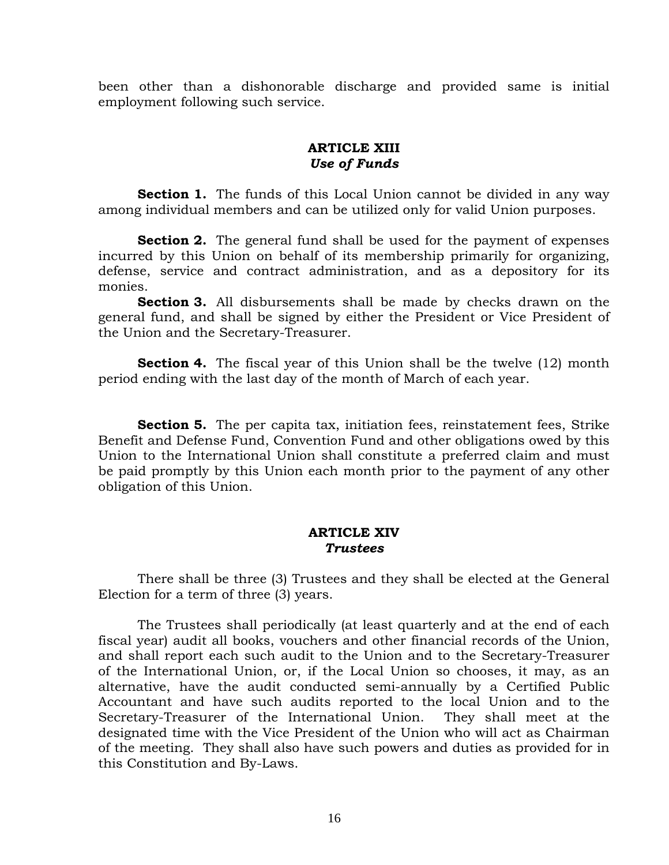been other than a dishonorable discharge and provided same is initial employment following such service.

# **ARTICLE XIII**  *Use of Funds*

**Section 1.** The funds of this Local Union cannot be divided in any way among individual members and can be utilized only for valid Union purposes.

**Section 2.** The general fund shall be used for the payment of expenses incurred by this Union on behalf of its membership primarily for organizing, defense, service and contract administration, and as a depository for its monies.

**Section 3.** All disbursements shall be made by checks drawn on the general fund, and shall be signed by either the President or Vice President of the Union and the Secretary-Treasurer.

**Section 4.** The fiscal year of this Union shall be the twelve (12) month period ending with the last day of the month of March of each year.

**Section 5.** The per capita tax, initiation fees, reinstatement fees, Strike Benefit and Defense Fund, Convention Fund and other obligations owed by this Union to the International Union shall constitute a preferred claim and must be paid promptly by this Union each month prior to the payment of any other obligation of this Union.

#### **ARTICLE XIV**  *Trustees*

 There shall be three (3) Trustees and they shall be elected at the General Election for a term of three (3) years.

 The Trustees shall periodically (at least quarterly and at the end of each fiscal year) audit all books, vouchers and other financial records of the Union, and shall report each such audit to the Union and to the Secretary-Treasurer of the International Union, or, if the Local Union so chooses, it may, as an alternative, have the audit conducted semi-annually by a Certified Public Accountant and have such audits reported to the local Union and to the Secretary-Treasurer of the International Union. They shall meet at the designated time with the Vice President of the Union who will act as Chairman of the meeting. They shall also have such powers and duties as provided for in this Constitution and By-Laws.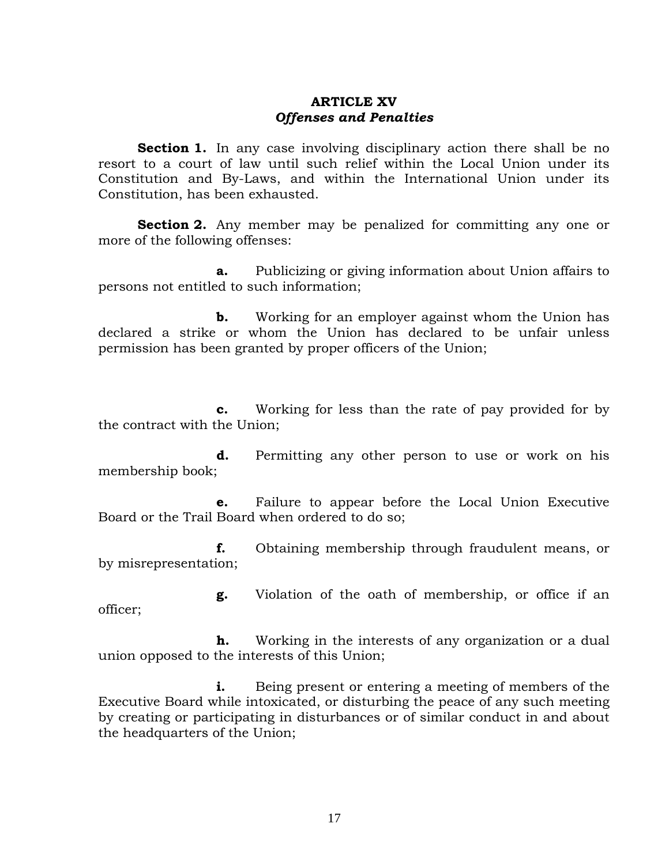### **ARTICLE XV**  *Offenses and Penalties*

**Section 1.** In any case involving disciplinary action there shall be no resort to a court of law until such relief within the Local Union under its Constitution and By-Laws, and within the International Union under its Constitution, has been exhausted.

**Section 2.** Any member may be penalized for committing any one or more of the following offenses:

 **a.** Publicizing or giving information about Union affairs to persons not entitled to such information;

**b.** Working for an employer against whom the Union has declared a strike or whom the Union has declared to be unfair unless permission has been granted by proper officers of the Union;

 **c.** Working for less than the rate of pay provided for by the contract with the Union;

**d.** Permitting any other person to use or work on his membership book;

 **e.** Failure to appear before the Local Union Executive Board or the Trail Board when ordered to do so;

 **f.** Obtaining membership through fraudulent means, or by misrepresentation;

 **g.** Violation of the oath of membership, or office if an officer;

 **h.** Working in the interests of any organization or a dual union opposed to the interests of this Union;

**i.** Being present or entering a meeting of members of the Executive Board while intoxicated, or disturbing the peace of any such meeting by creating or participating in disturbances or of similar conduct in and about the headquarters of the Union;

17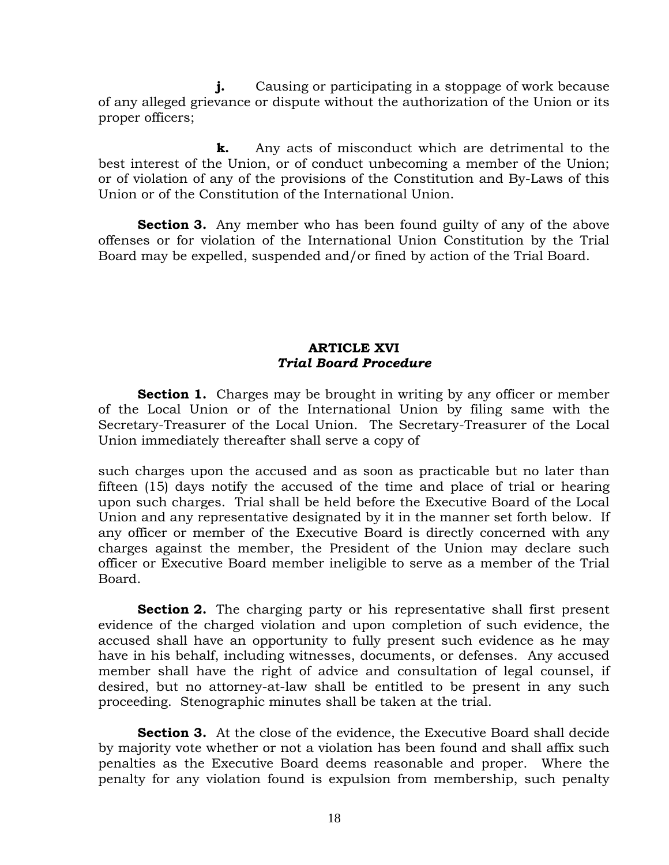**j.** Causing or participating in a stoppage of work because of any alleged grievance or dispute without the authorization of the Union or its proper officers;

 **k.** Any acts of misconduct which are detrimental to the best interest of the Union, or of conduct unbecoming a member of the Union; or of violation of any of the provisions of the Constitution and By-Laws of this Union or of the Constitution of the International Union.

**Section 3.** Any member who has been found guilty of any of the above offenses or for violation of the International Union Constitution by the Trial Board may be expelled, suspended and/or fined by action of the Trial Board.

# **ARTICLE XVI**  *Trial Board Procedure*

**Section 1.** Charges may be brought in writing by any officer or member of the Local Union or of the International Union by filing same with the Secretary-Treasurer of the Local Union. The Secretary-Treasurer of the Local Union immediately thereafter shall serve a copy of

such charges upon the accused and as soon as practicable but no later than fifteen (15) days notify the accused of the time and place of trial or hearing upon such charges. Trial shall be held before the Executive Board of the Local Union and any representative designated by it in the manner set forth below. If any officer or member of the Executive Board is directly concerned with any charges against the member, the President of the Union may declare such officer or Executive Board member ineligible to serve as a member of the Trial Board.

**Section 2.** The charging party or his representative shall first present evidence of the charged violation and upon completion of such evidence, the accused shall have an opportunity to fully present such evidence as he may have in his behalf, including witnesses, documents, or defenses. Any accused member shall have the right of advice and consultation of legal counsel, if desired, but no attorney-at-law shall be entitled to be present in any such proceeding. Stenographic minutes shall be taken at the trial.

**Section 3.** At the close of the evidence, the Executive Board shall decide by majority vote whether or not a violation has been found and shall affix such penalties as the Executive Board deems reasonable and proper. Where the penalty for any violation found is expulsion from membership, such penalty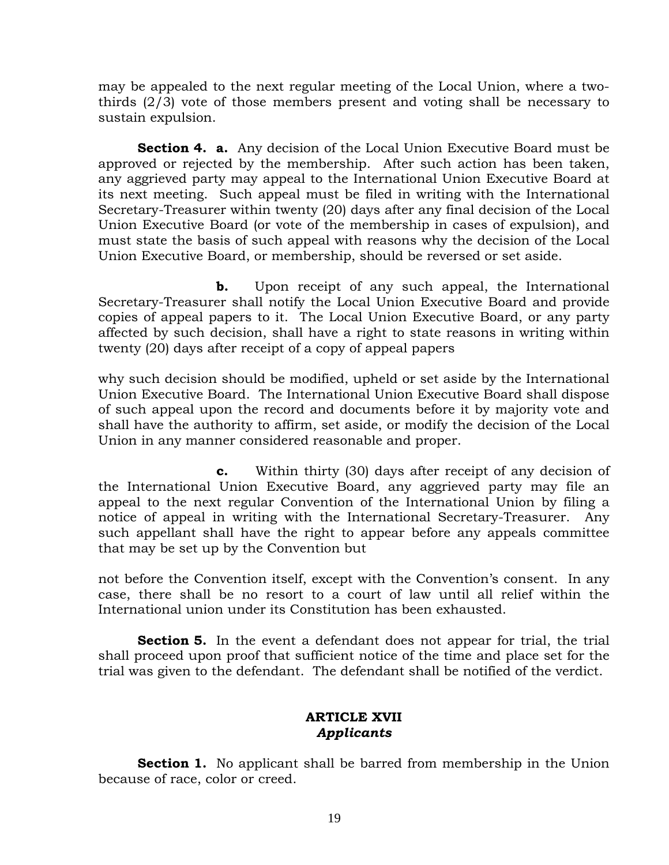may be appealed to the next regular meeting of the Local Union, where a twothirds (2/3) vote of those members present and voting shall be necessary to sustain expulsion.

**Section 4. a.** Any decision of the Local Union Executive Board must be approved or rejected by the membership. After such action has been taken, any aggrieved party may appeal to the International Union Executive Board at its next meeting. Such appeal must be filed in writing with the International Secretary-Treasurer within twenty (20) days after any final decision of the Local Union Executive Board (or vote of the membership in cases of expulsion), and must state the basis of such appeal with reasons why the decision of the Local Union Executive Board, or membership, should be reversed or set aside.

**b.** Upon receipt of any such appeal, the International Secretary-Treasurer shall notify the Local Union Executive Board and provide copies of appeal papers to it. The Local Union Executive Board, or any party affected by such decision, shall have a right to state reasons in writing within twenty (20) days after receipt of a copy of appeal papers

why such decision should be modified, upheld or set aside by the International Union Executive Board. The International Union Executive Board shall dispose of such appeal upon the record and documents before it by majority vote and shall have the authority to affirm, set aside, or modify the decision of the Local Union in any manner considered reasonable and proper.

 **c.** Within thirty (30) days after receipt of any decision of the International Union Executive Board, any aggrieved party may file an appeal to the next regular Convention of the International Union by filing a notice of appeal in writing with the International Secretary-Treasurer. Any such appellant shall have the right to appear before any appeals committee that may be set up by the Convention but

not before the Convention itself, except with the Convention's consent. In any case, there shall be no resort to a court of law until all relief within the International union under its Constitution has been exhausted.

**Section 5.** In the event a defendant does not appear for trial, the trial shall proceed upon proof that sufficient notice of the time and place set for the trial was given to the defendant. The defendant shall be notified of the verdict.

# **ARTICLE XVII**  *Applicants*

**Section 1.** No applicant shall be barred from membership in the Union because of race, color or creed.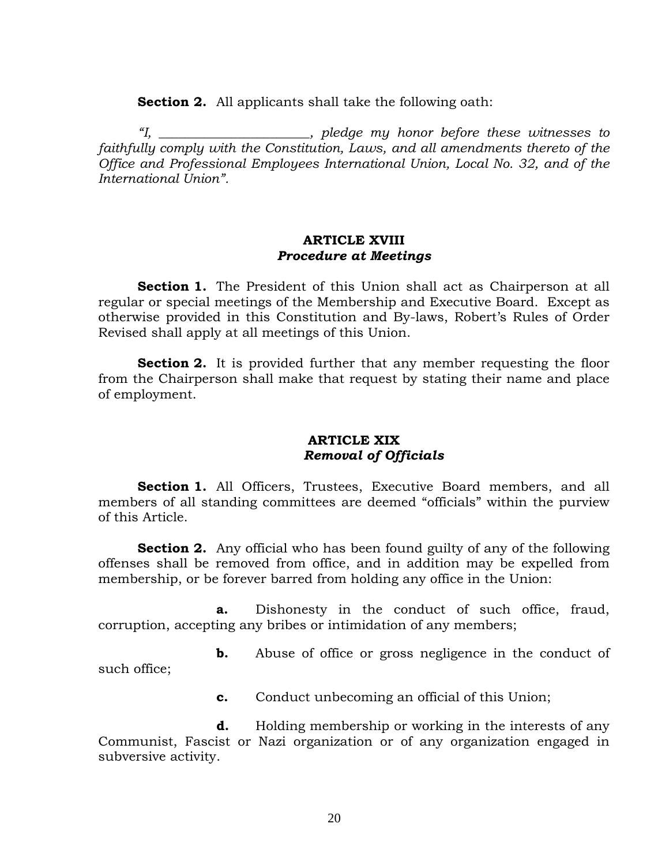**Section 2.** All applicants shall take the following oath:

 *"I, \_\_\_\_\_\_\_\_\_\_\_\_\_\_\_\_\_\_\_\_\_\_\_, pledge my honor before these witnesses to faithfully comply with the Constitution, Laws, and all amendments thereto of the Office and Professional Employees International Union, Local No. 32, and of the International Union".* 

#### **ARTICLE XVIII**  *Procedure at Meetings*

**Section 1.** The President of this Union shall act as Chairperson at all regular or special meetings of the Membership and Executive Board. Except as otherwise provided in this Constitution and By-laws, Robert's Rules of Order Revised shall apply at all meetings of this Union.

**Section 2.** It is provided further that any member requesting the floor from the Chairperson shall make that request by stating their name and place of employment.

## **ARTICLE XIX**  *Removal of Officials*

**Section 1.** All Officers, Trustees, Executive Board members, and all members of all standing committees are deemed "officials" within the purview of this Article.

**Section 2.** Any official who has been found guilty of any of the following offenses shall be removed from office, and in addition may be expelled from membership, or be forever barred from holding any office in the Union:

 **a.** Dishonesty in the conduct of such office, fraud, corruption, accepting any bribes or intimidation of any members;

**b.** Abuse of office or gross negligence in the conduct of such office;

**c.** Conduct unbecoming an official of this Union;

 **d.** Holding membership or working in the interests of any Communist, Fascist or Nazi organization or of any organization engaged in subversive activity.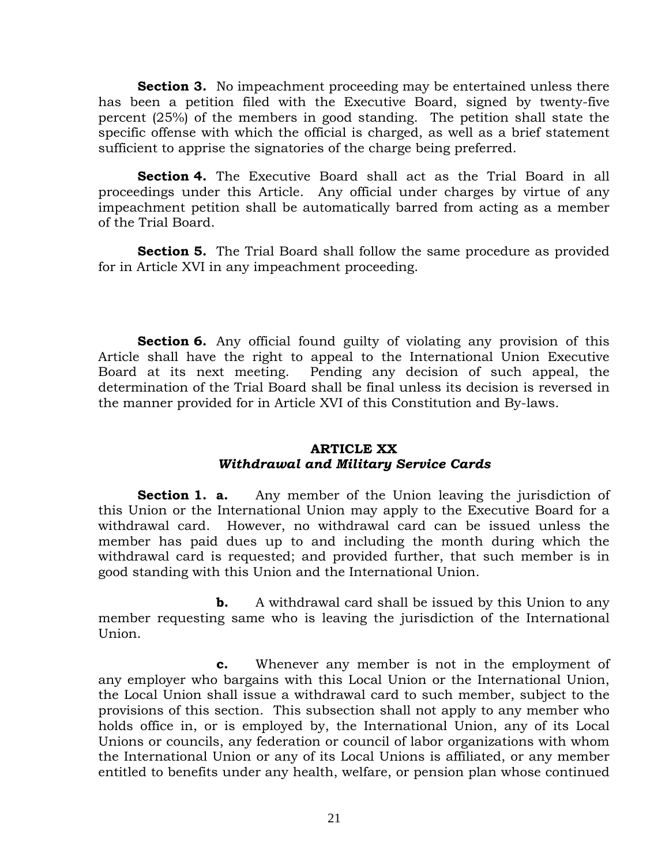**Section 3.** No impeachment proceeding may be entertained unless there has been a petition filed with the Executive Board, signed by twenty-five percent (25%) of the members in good standing. The petition shall state the specific offense with which the official is charged, as well as a brief statement sufficient to apprise the signatories of the charge being preferred.

**Section 4.** The Executive Board shall act as the Trial Board in all proceedings under this Article. Any official under charges by virtue of any impeachment petition shall be automatically barred from acting as a member of the Trial Board.

**Section 5.** The Trial Board shall follow the same procedure as provided for in Article XVI in any impeachment proceeding.

**Section 6.** Any official found guilty of violating any provision of this Article shall have the right to appeal to the International Union Executive Board at its next meeting. Pending any decision of such appeal, the determination of the Trial Board shall be final unless its decision is reversed in the manner provided for in Article XVI of this Constitution and By-laws.

# **ARTICLE XX**  *Withdrawal and Military Service Cards*

**Section 1. a.** Any member of the Union leaving the jurisdiction of this Union or the International Union may apply to the Executive Board for a withdrawal card. However, no withdrawal card can be issued unless the member has paid dues up to and including the month during which the withdrawal card is requested; and provided further, that such member is in good standing with this Union and the International Union.

**b.** A withdrawal card shall be issued by this Union to any member requesting same who is leaving the jurisdiction of the International Union.

 **c.** Whenever any member is not in the employment of any employer who bargains with this Local Union or the International Union, the Local Union shall issue a withdrawal card to such member, subject to the provisions of this section. This subsection shall not apply to any member who holds office in, or is employed by, the International Union, any of its Local Unions or councils, any federation or council of labor organizations with whom the International Union or any of its Local Unions is affiliated, or any member entitled to benefits under any health, welfare, or pension plan whose continued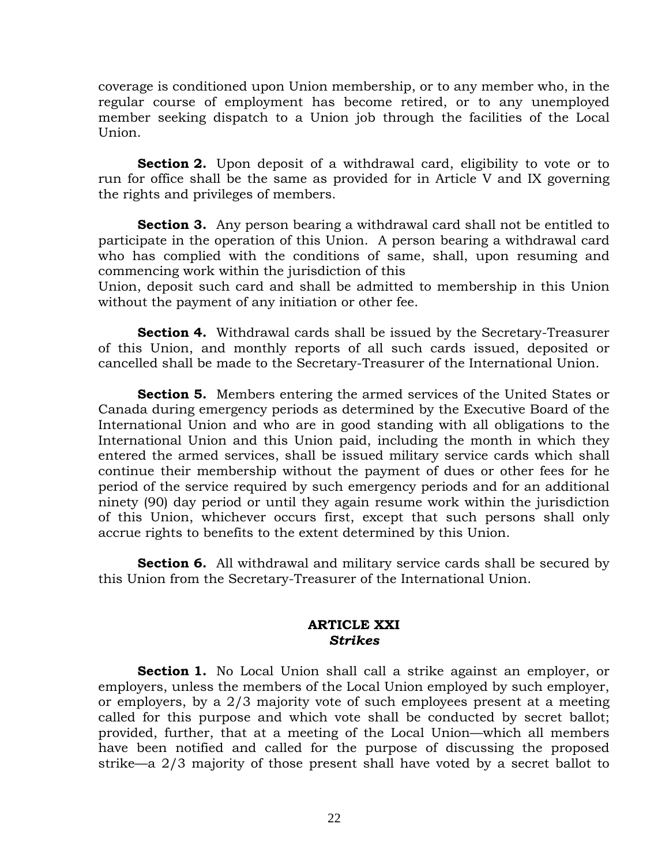coverage is conditioned upon Union membership, or to any member who, in the regular course of employment has become retired, or to any unemployed member seeking dispatch to a Union job through the facilities of the Local Union.

**Section 2.** Upon deposit of a withdrawal card, eligibility to vote or to run for office shall be the same as provided for in Article V and IX governing the rights and privileges of members.

**Section 3.** Any person bearing a withdrawal card shall not be entitled to participate in the operation of this Union. A person bearing a withdrawal card who has complied with the conditions of same, shall, upon resuming and commencing work within the jurisdiction of this

Union, deposit such card and shall be admitted to membership in this Union without the payment of any initiation or other fee.

**Section 4.** Withdrawal cards shall be issued by the Secretary-Treasurer of this Union, and monthly reports of all such cards issued, deposited or cancelled shall be made to the Secretary-Treasurer of the International Union.

**Section 5.** Members entering the armed services of the United States or Canada during emergency periods as determined by the Executive Board of the International Union and who are in good standing with all obligations to the International Union and this Union paid, including the month in which they entered the armed services, shall be issued military service cards which shall continue their membership without the payment of dues or other fees for he period of the service required by such emergency periods and for an additional ninety (90) day period or until they again resume work within the jurisdiction of this Union, whichever occurs first, except that such persons shall only accrue rights to benefits to the extent determined by this Union.

**Section 6.** All withdrawal and military service cards shall be secured by this Union from the Secretary-Treasurer of the International Union.

## **ARTICLE XXI**  *Strikes*

**Section 1.** No Local Union shall call a strike against an employer, or employers, unless the members of the Local Union employed by such employer, or employers, by a 2/3 majority vote of such employees present at a meeting called for this purpose and which vote shall be conducted by secret ballot; provided, further, that at a meeting of the Local Union—which all members have been notified and called for the purpose of discussing the proposed strike—a 2/3 majority of those present shall have voted by a secret ballot to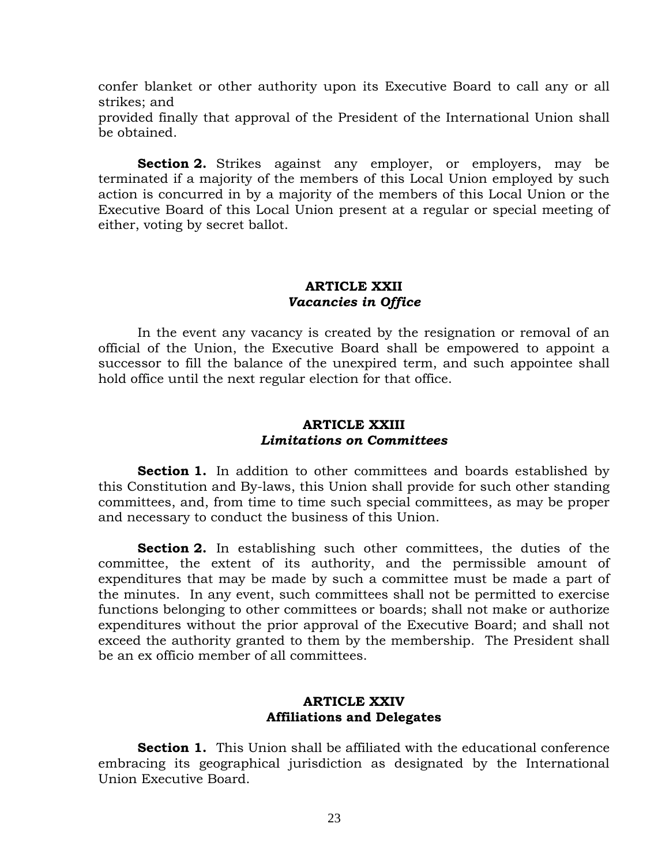confer blanket or other authority upon its Executive Board to call any or all strikes; and

provided finally that approval of the President of the International Union shall be obtained.

**Section 2.** Strikes against any employer, or employers, may be terminated if a majority of the members of this Local Union employed by such action is concurred in by a majority of the members of this Local Union or the Executive Board of this Local Union present at a regular or special meeting of either, voting by secret ballot.

## **ARTICLE XXII**  *Vacancies in Office*

 In the event any vacancy is created by the resignation or removal of an official of the Union, the Executive Board shall be empowered to appoint a successor to fill the balance of the unexpired term, and such appointee shall hold office until the next regular election for that office.

## **ARTICLE XXIII**  *Limitations on Committees*

**Section 1.** In addition to other committees and boards established by this Constitution and By-laws, this Union shall provide for such other standing committees, and, from time to time such special committees, as may be proper and necessary to conduct the business of this Union.

**Section 2.** In establishing such other committees, the duties of the committee, the extent of its authority, and the permissible amount of expenditures that may be made by such a committee must be made a part of the minutes. In any event, such committees shall not be permitted to exercise functions belonging to other committees or boards; shall not make or authorize expenditures without the prior approval of the Executive Board; and shall not exceed the authority granted to them by the membership. The President shall be an ex officio member of all committees.

# **ARTICLE XXIV Affiliations and Delegates**

**Section 1.** This Union shall be affiliated with the educational conference embracing its geographical jurisdiction as designated by the International Union Executive Board.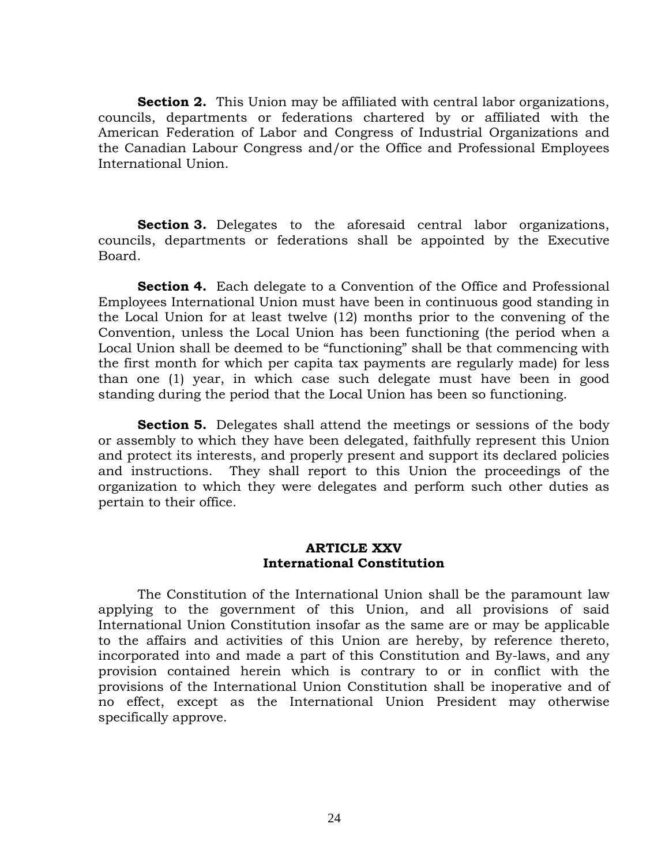**Section 2.** This Union may be affiliated with central labor organizations, councils, departments or federations chartered by or affiliated with the American Federation of Labor and Congress of Industrial Organizations and the Canadian Labour Congress and/or the Office and Professional Employees International Union.

**Section 3.** Delegates to the aforesaid central labor organizations, councils, departments or federations shall be appointed by the Executive Board.

**Section 4.** Each delegate to a Convention of the Office and Professional Employees International Union must have been in continuous good standing in the Local Union for at least twelve (12) months prior to the convening of the Convention, unless the Local Union has been functioning (the period when a Local Union shall be deemed to be "functioning" shall be that commencing with the first month for which per capita tax payments are regularly made) for less than one (1) year, in which case such delegate must have been in good standing during the period that the Local Union has been so functioning.

**Section 5.** Delegates shall attend the meetings or sessions of the body or assembly to which they have been delegated, faithfully represent this Union and protect its interests, and properly present and support its declared policies and instructions. They shall report to this Union the proceedings of the organization to which they were delegates and perform such other duties as pertain to their office.

### **ARTICLE XXV International Constitution**

 The Constitution of the International Union shall be the paramount law applying to the government of this Union, and all provisions of said International Union Constitution insofar as the same are or may be applicable to the affairs and activities of this Union are hereby, by reference thereto, incorporated into and made a part of this Constitution and By-laws, and any provision contained herein which is contrary to or in conflict with the provisions of the International Union Constitution shall be inoperative and of no effect, except as the International Union President may otherwise specifically approve.